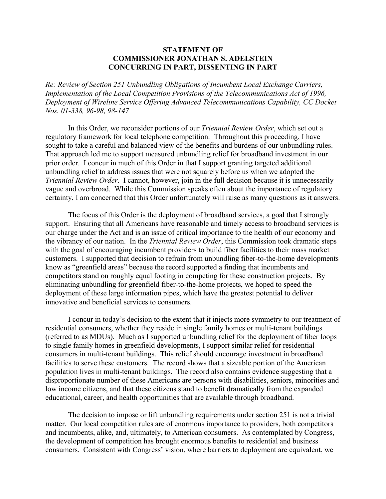## **STATEMENT OF COMMISSIONER JONATHAN S. ADELSTEIN CONCURRING IN PART, DISSENTING IN PART**

*Re: Review of Section 251 Unbundling Obligations of Incumbent Local Exchange Carriers, Implementation of the Local Competition Provisions of the Telecommunications Act of 1996, Deployment of Wireline Service Offering Advanced Telecommunications Capability, CC Docket Nos. 01-338, 96-98, 98-147* 

In this Order, we reconsider portions of our *Triennial Review Order*, which set out a regulatory framework for local telephone competition. Throughout this proceeding, I have sought to take a careful and balanced view of the benefits and burdens of our unbundling rules. That approach led me to support measured unbundling relief for broadband investment in our prior order. I concur in much of this Order in that I support granting targeted additional unbundling relief to address issues that were not squarely before us when we adopted the *Triennial Review Order*. I cannot, however, join in the full decision because it is unnecessarily vague and overbroad. While this Commission speaks often about the importance of regulatory certainty, I am concerned that this Order unfortunately will raise as many questions as it answers.

The focus of this Order is the deployment of broadband services, a goal that I strongly support. Ensuring that all Americans have reasonable and timely access to broadband services is our charge under the Act and is an issue of critical importance to the health of our economy and the vibrancy of our nation. In the *Triennial Review Order*, this Commission took dramatic steps with the goal of encouraging incumbent providers to build fiber facilities to their mass market customers. I supported that decision to refrain from unbundling fiber-to-the-home developments know as "greenfield areas" because the record supported a finding that incumbents and competitors stand on roughly equal footing in competing for these construction projects. By eliminating unbundling for greenfield fiber-to-the-home projects, we hoped to speed the deployment of these large information pipes, which have the greatest potential to deliver innovative and beneficial services to consumers.

I concur in today's decision to the extent that it injects more symmetry to our treatment of residential consumers, whether they reside in single family homes or multi-tenant buildings (referred to as MDUs). Much as I supported unbundling relief for the deployment of fiber loops to single family homes in greenfield developments, I support similar relief for residential consumers in multi-tenant buildings. This relief should encourage investment in broadband facilities to serve these customers. The record shows that a sizeable portion of the American population lives in multi-tenant buildings. The record also contains evidence suggesting that a disproportionate number of these Americans are persons with disabilities, seniors, minorities and low income citizens, and that these citizens stand to benefit dramatically from the expanded educational, career, and health opportunities that are available through broadband.

The decision to impose or lift unbundling requirements under section 251 is not a trivial matter. Our local competition rules are of enormous importance to providers, both competitors and incumbents, alike, and, ultimately, to American consumers. As contemplated by Congress, the development of competition has brought enormous benefits to residential and business consumers. Consistent with Congress' vision, where barriers to deployment are equivalent, we